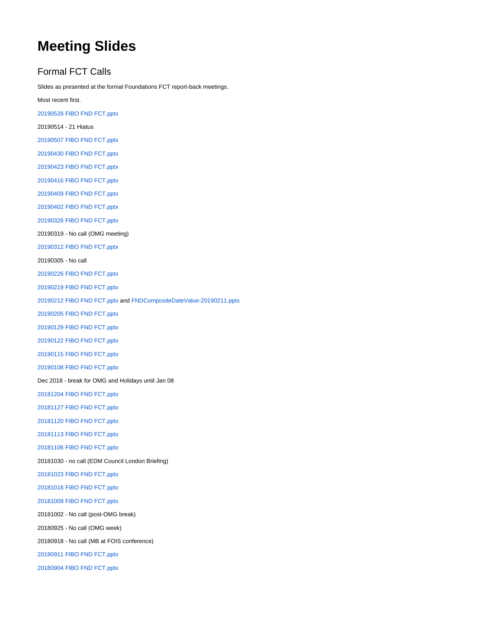# **Meeting Slides**

## Formal FCT Calls

Slides as presented at the formal Foundations FCT report-back meetings.

Most recent first.

[20190528 FIBO FND FCT.pptx](https://wiki.edmcouncil.org/download/attachments/28902951/20190528%20FIBO%20FND%20FCT.pptx?version=1&modificationDate=1559085908000&api=v2)

20190514 - 21 Hiatus

[20190507 FIBO FND FCT.pptx](https://wiki.edmcouncil.org/download/attachments/28902781/20190507%20FIBO%20FND%20FCT.pptx?version=1&modificationDate=1557856299000&api=v2)

[20190430 FIBO FND FCT.pptx](https://wiki.edmcouncil.org/download/attachments/28902749/20190430%20FIBO%20FND%20FCT.pptx?version=1&modificationDate=1556657331000&api=v2)

[20190423 FIBO FND FCT.pptx](https://wiki.edmcouncil.org/download/attachments/28902663/20190423%20FIBO%20FND%20FCT.pptx?version=1&modificationDate=1556051616000&api=v2)

[20190416 FIBO FND FCT.pptx](https://wiki.edmcouncil.org/download/attachments/28902643/20190416%20FIBO%20FND%20FCT.pptx?version=1&modificationDate=1556035911000&api=v2)

[20190409 FIBO FND FCT.pptx](https://wiki.edmcouncil.org/download/attachments/28902602/20190409%20FIBO%20FND%20FCT.pptx?version=1&modificationDate=1556036049000&api=v2)

[20190402 FIBO FND FCT.pptx](https://wiki.edmcouncil.org/download/attachments/28902565/20190402%20FIBO%20FND%20FCT.pptx?version=1&modificationDate=1554333172000&api=v2)

[20190326 FIBO FND FCT.pptx](https://wiki.edmcouncil.org/download/attachments/28902497/20190326%20FIBO%20FND%20FCT.pptx?version=1&modificationDate=1553634041000&api=v2)

20190319 - No call (OMG meeting)

[20190312 FIBO FND FCT.pptx](https://wiki.edmcouncil.org/download/attachments/28902434/20190312%20FIBO%20FND%20FCT.pptx?version=1&modificationDate=1552423146000&api=v2)

20190305 - No call

[20190226 FIBO FND FCT.pptx](https://wiki.edmcouncil.org/download/attachments/28902347/20190226%20FIBO%20FND%20FCT.pptx?version=1&modificationDate=1551218294000&api=v2)

[20190219 FIBO FND FCT.pptx](https://wiki.edmcouncil.org/download/attachments/28902336/20190219%20FIBO%20FND%20FCT.pptx?version=1&modificationDate=1550678011000&api=v2)

[20190212 FIBO FND FCT.pptx](https://wiki.edmcouncil.org/download/attachments/28902245/20190212%20FIBO%20FND%20FCT.pptx?version=1&modificationDate=1550012936000&api=v2) and [FNDCompositeDateValue-20190211.pptx](https://wiki.edmcouncil.org/download/attachments/28902245/FNDCompositeDateValue-20190211.pptx?version=1&modificationDate=1550067183000&api=v2)

[20190205 FIBO FND FCT.pptx](https://wiki.edmcouncil.org/download/attachments/28902243/20190205%20FIBO%20FND%20FCT.pptx?version=1&modificationDate=1549999255000&api=v2)

[20190129 FIBO FND FCT.pptx](https://wiki.edmcouncil.org/download/attachments/28902241/20190129%20FIBO%20FND%20FCT.pptx?version=1&modificationDate=1549999170000&api=v2)

[20190122 FIBO FND FCT.pptx](https://wiki.edmcouncil.org/download/attachments/28902037/20190122%20FIBO%20FND%20FCT.pptx?version=1&modificationDate=1548195608000&api=v2)

[20190115 FIBO FND FCT.pptx](https://wiki.edmcouncil.org/download/attachments/28901947/20190115%20FIBO%20FND%20FCT.pptx?version=1&modificationDate=1547589434000&api=v2)

[20190108 FIBO FND FCT.pptx](https://wiki.edmcouncil.org/download/attachments/28901846/20190108%20FIBO%20FND%20FCT.pptx?version=1&modificationDate=1546984211000&api=v2)

Dec 2018 - break for OMG and Holidays until Jan 08

[20181204 FIBO FND FCT.pptx](https://wiki.edmcouncil.org/download/attachments/28901706/20181204%20FIBO%20FND%20FCT.pptx?version=1&modificationDate=1544041853000&api=v2)

[20181127 FIBO FND FCT.pptx](https://wiki.edmcouncil.org/download/attachments/28901677/20181127%20FIBO%20FND%20FCT.pptx?version=1&modificationDate=1543502946000&api=v2)

[20181120 FIBO FND FCT.pptx](https://wiki.edmcouncil.org/download/attachments/28901635/20181120%20FIBO%20FND%20FCT.pptx?version=1&modificationDate=1542753117000&api=v2)

[20181113 FIBO FND FCT.pptx](https://wiki.edmcouncil.org/download/attachments/28901582/20181113%20FIBO%20FND%20FCT.pptx?version=1&modificationDate=1542143518000&api=v2)

[20181106 FIBO FND FCT.pptx](https://wiki.edmcouncil.org/download/attachments/28901549/20181106%20FIBO%20FND%20FCT.pptx?version=1&modificationDate=1541549901000&api=v2)

20181030 - no call (EDM Council London Briefing)

[20181023 FIBO FND FCT.pptx](https://wiki.edmcouncil.org/download/attachments/28901440/20181023%20FIBO%20FND%20FCT.pptx?version=1&modificationDate=1540428769000&api=v2)

[20181016 FIBO FND FCT.pptx](https://wiki.edmcouncil.org/download/attachments/24249393/20181016%20FIBO%20FND%20FCT.pptx?version=1&modificationDate=1539723640000&api=v2)

[20181009 FIBO FND FCT.pptx](https://wiki.edmcouncil.org/download/attachments/24249370/20181009%20FIBO%20FND%20FCT.pptx?version=1&modificationDate=1539625459000&api=v2)

20181002 - No call (post-OMG break)

20180925 - No call (OMG week)

20180918 - No call (MB at FOIS conference)

[20180911 FIBO FND FCT.pptx](https://wiki.edmcouncil.org/download/attachments/24249230/20180911%20FIBO%20FND%20FCT.pptx?version=1&modificationDate=1536700415000&api=v2)

[20180904 FIBO FND FCT.pptx](https://wiki.edmcouncil.org/download/attachments/24249175/20180904%20FIBO%20FND%20FCT.pptx?version=1&modificationDate=1536093333000&api=v2)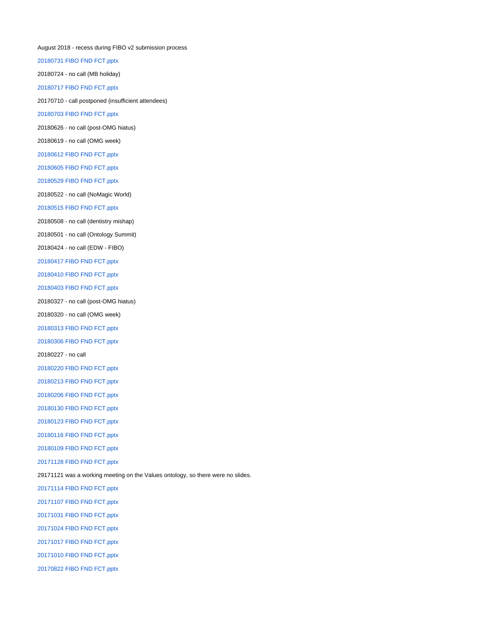August 2018 - recess during FIBO v2 submission process [20180731 FIBO FND FCT.pptx](https://wiki.edmcouncil.org/download/attachments/24248799/20180731%20FIBO%20FND%20FCT.pptx?version=1&modificationDate=1533133095000&api=v2) 20180724 - no call (MB holiday) [20180717 FIBO FND FCT.pptx](https://wiki.edmcouncil.org/download/attachments/24248712/20180717%20FIBO%20FND%20FCT.pptx?version=1&modificationDate=1531858925000&api=v2) 20170710 - call postponed (insufficient attendees) [20180703 FIBO FND FCT.pptx](https://wiki.edmcouncil.org/download/attachments/24248619/20180703%20FIBO%20FND%20FCT.pptx?version=1&modificationDate=1530652255000&api=v2) 20180626 - no call (post-OMG hiatus) 20180619 - no call (OMG week) [20180612 FIBO FND FCT.pptx](https://wiki.edmcouncil.org/download/attachments/24248541/20180612%20FIBO%20FND%20FCT.pptx?version=1&modificationDate=1528835625000&api=v2) [20180605 FIBO FND FCT.pptx](https://wiki.edmcouncil.org/download/attachments/24248478/20180605%20FIBO%20FND%20FCT.pptx?version=1&modificationDate=1528231822000&api=v2) [20180529 FIBO FND FCT.pptx](https://wiki.edmcouncil.org/download/attachments/24248428/20180529%20FIBO%20FND%20FCT.pptx?version=1&modificationDate=1527790124000&api=v2) 20180522 - no call (NoMagic World) [20180515 FIBO FND FCT.pptx](https://wiki.edmcouncil.org/download/attachments/24248350/20180515%20FIBO%20FND%20FCT.pptx?version=1&modificationDate=1526414812000&api=v2) 20180508 - no call (dentistry mishap) 20180501 - no call (Ontology Summit) 20180424 - no call (EDW - FIBO) [20180417 FIBO FND FCT.pptx](https://wiki.edmcouncil.org/download/attachments/20874008/20180417%20FIBO%20FND%20FCT.pptx?version=1&modificationDate=1524066458000&api=v2) [20180410 FIBO FND FCT.pptx](https://wiki.edmcouncil.org/download/attachments/20873946/20180410%20FIBO%20FND%20FCT.pptx?version=1&modificationDate=1523391371000&api=v2) [20180403 FIBO FND FCT.pptx](https://wiki.edmcouncil.org/download/attachments/20873921/20180403%20FIBO%20FND%20FCT.pptx?version=1&modificationDate=1522789682000&api=v2) 20180327 - no call (post-OMG hiatus) 20180320 - no call (OMG week) [20180313 FIBO FND FCT.pptx](https://wiki.edmcouncil.org/download/attachments/20873812/20180313%20FIBO%20FND%20FCT.pptx?version=1&modificationDate=1520976285000&api=v2) [20180306 FIBO FND FCT.pptx](https://wiki.edmcouncil.org/download/attachments/20873725/20180306%20FIBO%20FND%20FCT.pptx?version=1&modificationDate=1520458995000&api=v2) 20180227 - no call [20180220 FIBO FND FCT.pptx](https://wiki.edmcouncil.org/download/attachments/20873482/20180220%20FIBO%20FND%20FCT.pptx?version=1&modificationDate=1519353354000&api=v2) [20180213 FIBO FND FCT.pptx](https://wiki.edmcouncil.org/download/attachments/18907562/20180213%20FIBO%20FND%20FCT.pptx?version=1&modificationDate=1518714239000&api=v2) [20180206 FIBO FND FCT.pptx](https://wiki.edmcouncil.org/download/attachments/18907492/20180206%20FIBO%20FND%20FCT.pptx?version=1&modificationDate=1518046943000&api=v2) [20180130 FIBO FND FCT.pptx](https://wiki.edmcouncil.org/download/attachments/18907423/20180130%20FIBO%20FND%20FCT.pptx?version=1&modificationDate=1517410985000&api=v2) [20180123 FIBO FND FCT.pptx](https://wiki.edmcouncil.org/download/attachments/18907311/20180123%20FIBO%20FND%20FCT.pptx?version=1&modificationDate=1516740946000&api=v2) [20180116 FIBO FND FCT.pptx](https://wiki.edmcouncil.org/download/attachments/18907318/20180116%20FIBO%20FND%20FCT.pptx?version=1&modificationDate=1516741367000&api=v2) [20180109 FIBO FND FCT.pptx](https://wiki.edmcouncil.org/download/attachments/18907166/20180109%20FIBO%20FND%20FCT.pptx?version=1&modificationDate=1515534169000&api=v2) [20171128 FIBO FND FCT.pptx](https://wiki.edmcouncil.org/download/attachments/15696509/20171128%20FIBO%20FND%20FCT.pptx?version=1&modificationDate=1511976186000&api=v2) 29171121 was a working meeting on the Values ontology, so there were no slides. [20171114 FIBO FND FCT.pptx](https://wiki.edmcouncil.org/download/attachments/15696341/20171114%20FIBO%20FND%20FCT.pptx?version=2&modificationDate=1510695944000&api=v2) [20171107 FIBO FND FCT.pptx](https://wiki.edmcouncil.org/download/attachments/15696278/20171107%20FIBO%20FND%20FCT.pptx?version=1&modificationDate=1510090025000&api=v2) [20171031 FIBO FND FCT.pptx](https://wiki.edmcouncil.org/download/attachments/15696188/20171031%20FIBO%20FND%20FCT.pptx?version=1&modificationDate=1509480364000&api=v2) [20171024 FIBO FND FCT.pptx](https://wiki.edmcouncil.org/download/attachments/15696074/20171024%20FIBO%20FND%20FCT.pptx?version=1&modificationDate=1508948354000&api=v2) [20171017 FIBO FND FCT.pptx](https://wiki.edmcouncil.org/download/attachments/15696026/20171017%20FIBO%20FND%20FCT.pptx?version=1&modificationDate=1508948455000&api=v2) [20171010 FIBO FND FCT.pptx](https://wiki.edmcouncil.org/download/attachments/15695918/20171010%20FIBO%20FND%20FCT.pptx?version=1&modificationDate=1507832903000&api=v2) [20170822 FIBO FND FCT.pptx](https://wiki.edmcouncil.org/download/attachments/9016824/20170822%20FIBO%20FND%20FCT.pptx?version=1&modificationDate=1503436033000&api=v2)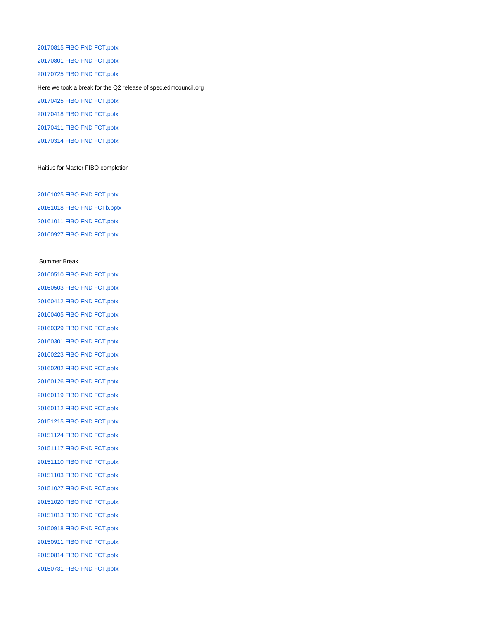[20170815 FIBO FND FCT.pptx](https://wiki.edmcouncil.org/download/attachments/9016760/20170815%20FIBO%20FND%20FCT.pptx?version=1&modificationDate=1502921714000&api=v2) [20170801 FIBO FND FCT.pptx](https://wiki.edmcouncil.org/download/attachments/9016640/20170801%20FIBO%20FND%20FCT.pptx?version=1&modificationDate=1501620126000&api=v2) [20170725 FIBO FND FCT.pptx](https://wiki.edmcouncil.org/download/attachments/9016576/20170725%20FIBO%20FND%20FCT.pptx?version=1&modificationDate=1501014196000&api=v2) Here we took a break for the Q2 release of spec.edmcouncil.org [20170425 FIBO FND FCT.pptx](https://wiki.edmcouncil.org/download/attachments/9014285/20170425%20FIBO%20FND%20FCT.pptx?version=1&modificationDate=1493151573000&api=v2) [20170418 FIBO FND FCT.pptx](https://wiki.edmcouncil.org/download/attachments/9014088/20170418%20FIBO%20FND%20FCT.pptx?version=1&modificationDate=1492965797000&api=v2) [20170411 FIBO FND FCT.pptx](https://wiki.edmcouncil.org/download/attachments/9013976/20170411%20FIBO%20FND%20FCT.pptx?version=1&modificationDate=1492008907000&api=v2) [20170314 FIBO FND FCT.pptx](https://wiki.edmcouncil.org/download/attachments/2556481/20170314%20FIBO%20FND%20FCT.pptx?version=1&modificationDate=1492009051000&api=v2)

#### Haitius for Master FIBO completion

[20161025 FIBO FND FCT.pptx](https://wiki.edmcouncil.org/download/attachments/6362403/20161025%20FIBO%20FND%20FCT.pptx?version=1&modificationDate=1477428631000&api=v2) [20161018 FIBO FND FCTb.pptx](https://wiki.edmcouncil.org/download/attachments/6362208/20161018%20FIBO%20FND%20FCTb.pptx?version=1&modificationDate=1476841214000&api=v2) [20161011 FIBO FND FCT.pptx](https://wiki.edmcouncil.org/download/attachments/6361594/20161011%20FIBO%20FND%20FCT.pptx?version=1&modificationDate=1476217178000&api=v2) [20160927 FIBO FND FCT.pptx](https://wiki.edmcouncil.org/download/attachments/6360530/20160927%20FIBO%20FND%20FCT.pptx?version=1&modificationDate=1475012167000&api=v2)

#### Summer Break

[20160510 FIBO FND FCT.pptx](https://wiki.edmcouncil.org/download/attachments/6358105/20160510%20FIBO%20FND%20FCT.pptx?version=1&modificationDate=1462913633000&api=v2) [20160503 FIBO FND FCT.pptx](https://wiki.edmcouncil.org/download/attachments/6357962/20160503%20FIBO%20FND%20FCT.pptx?version=1&modificationDate=1462306432000&api=v2) [20160412 FIBO FND FCT.pptx](https://wiki.edmcouncil.org/download/attachments/6357629/20160412%20FIBO%20FND%20FCT.pptx?version=1&modificationDate=1460557518000&api=v2) [20160405 FIBO FND FCT.pptx](https://wiki.edmcouncil.org/download/attachments/6357504/20160405%20FIBO%20FND%20FCT.pptx?version=1&modificationDate=1459970922000&api=v2) [20160329 FIBO FND FCT.pptx](https://wiki.edmcouncil.org/download/attachments/6357312/20160329%20FIBO%20FND%20FCT.pptx?version=1&modificationDate=1459282709000&api=v2) [20160301 FIBO FND FCT.pptx](https://wiki.edmcouncil.org/download/attachments/5832825/20160301%20FIBO%20FND%20FCT.pptx?version=1&modificationDate=1456866990000&api=v2) [20160223 FIBO FND FCT.pptx](https://wiki.edmcouncil.org/download/attachments/5832717/20160223%20FIBO%20FND%20FCT.pptx?version=1&modificationDate=1456261587000&api=v2) [20160202 FIBO FND FCT.pptx](https://wiki.edmcouncil.org/download/attachments/4751624/20160202%20FIBO%20FND%20FCT.pptx?version=1&modificationDate=1454462681000&api=v2) [20160126 FIBO FND FCT.pptx](https://wiki.edmcouncil.org/download/attachments/4751463/20160126%20FIBO%20FND%20FCT.pptx?version=1&modificationDate=1453842283000&api=v2) [20160119 FIBO FND FCT.pptx](https://wiki.edmcouncil.org/download/attachments/3574417/20160119%20FIBO%20FND%20FCT.pptx?version=1&modificationDate=1453842442000&api=v2) [20160112 FIBO FND FCT.pptx](https://wiki.edmcouncil.org/download/attachments/3574250/20160112%20FIBO%20FND%20FCT.pptx?version=1&modificationDate=1453842591000&api=v2) [20151215 FIBO FND FCT.pptx](https://wiki.edmcouncil.org/download/attachments/3573549/20151215%20FIBO%20FND%20FCT.pptx?version=1&modificationDate=1450379854000&api=v2) [20151124 FIBO FND FCT.pptx](https://wiki.edmcouncil.org/download/attachments/2556481/20151124%20FIBO%20FND%20FCT.pptx?version=1&modificationDate=1448655885000&api=v2) [20151117 FIBO FND FCT.pptx](https://wiki.edmcouncil.org/download/attachments/3573008/20151117%20FIBO%20FND%20FCT.pptx?version=1&modificationDate=1447798342000&api=v2) [20151110 FIBO FND FCT.pptx](https://wiki.edmcouncil.org/download/attachments/3572655/20151110%20FIBO%20FND%20FCT.pptx?version=1&modificationDate=1447197057000&api=v2) [20151103 FIBO FND FCT.pptx](https://wiki.edmcouncil.org/download/attachments/3572408/20151103%20FIBO%20FND%20FCT.pptx?version=1&modificationDate=1446585133000&api=v2) [20151027 FIBO FND FCT.pptx](https://wiki.edmcouncil.org/download/attachments/3572243/20151027%20FIBO%20FND%20FCT.pptx?version=1&modificationDate=1445974804000&api=v2) [20151020 FIBO FND FCT.pptx](https://wiki.edmcouncil.org/download/attachments/2556481/20151020%20FIBO%20FND%20FCT.pptx?version=1&modificationDate=1445390934000&api=v2) [20151013 FIBO FND FCT.pptx](https://wiki.edmcouncil.org/download/attachments/2556481/20151013%20FIBO%20FND%20FCT.pptx?version=1&modificationDate=1444768635000&api=v2) [20150918 FIBO FND FCT.pptx](https://wiki.edmcouncil.org/download/attachments/2556481/20150918%20FIBO%20FND%20FCT.pptx?version=1&modificationDate=1442607326000&api=v2) [20150911 FIBO FND FCT.pptx](https://wiki.edmcouncil.org/download/attachments/2556481/20150911%20FIBO%20FND%20FCT.pptx?version=1&modificationDate=1442328470000&api=v2) [20150814 FIBO FND FCT.pptx](https://wiki.edmcouncil.org/download/attachments/2556481/20150814%20FIBO%20FND%20FCT.pptx?version=1&modificationDate=1439575753000&api=v2) [20150731 FIBO FND FCT.pptx](https://wiki.edmcouncil.org/download/attachments/2556481/20150731%20FIBO%20FND%20FCT.pptx?version=1&modificationDate=1438369400000&api=v2)